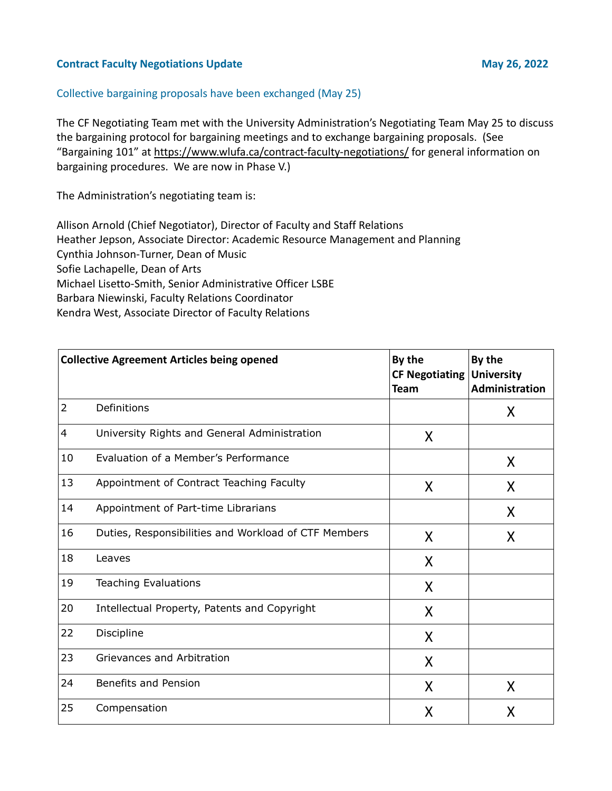## **Contract Faculty Negotiations Update May 26, 2022**

## Collective bargaining proposals have been exchanged (May 25)

The CF Negotiating Team met with the University Administration's Negotiating Team May 25 to discuss the bargaining protocol for bargaining meetings and to exchange bargaining proposals. (See "Bargaining 101" at<https://www.wlufa.ca/contract-faculty-negotiations/> for general information on bargaining procedures. We are now in Phase V.)

The Administration's negotiating team is:

Allison Arnold (Chief Negotiator), Director of Faculty and Staff Relations Heather Jepson, Associate Director: Academic Resource Management and Planning Cynthia Johnson-Turner, Dean of Music Sofie Lachapelle, Dean of Arts Michael Lisetto-Smith, Senior Administrative Officer LSBE Barbara Niewinski, Faculty Relations Coordinator Kendra West, Associate Director of Faculty Relations

| <b>Collective Agreement Articles being opened</b> |                                                      | By the<br><b>CF Negotiating</b><br><b>Team</b> | By the<br><b>University</b><br>Administration |
|---------------------------------------------------|------------------------------------------------------|------------------------------------------------|-----------------------------------------------|
| 2                                                 | Definitions                                          |                                                | X                                             |
| $\overline{4}$                                    | University Rights and General Administration         | X                                              |                                               |
| 10                                                | Evaluation of a Member's Performance                 |                                                | X                                             |
| 13                                                | Appointment of Contract Teaching Faculty             | X                                              | X                                             |
| 14                                                | Appointment of Part-time Librarians                  |                                                | X                                             |
| 16                                                | Duties, Responsibilities and Workload of CTF Members | X                                              | X                                             |
| 18                                                | Leaves                                               | X                                              |                                               |
| 19                                                | <b>Teaching Evaluations</b>                          | X                                              |                                               |
| 20                                                | Intellectual Property, Patents and Copyright         | X                                              |                                               |
| 22                                                | Discipline                                           | X                                              |                                               |
| 23                                                | Grievances and Arbitration                           | X                                              |                                               |
| 24                                                | <b>Benefits and Pension</b>                          | X                                              | X                                             |
| 25                                                | Compensation                                         | X                                              | X                                             |